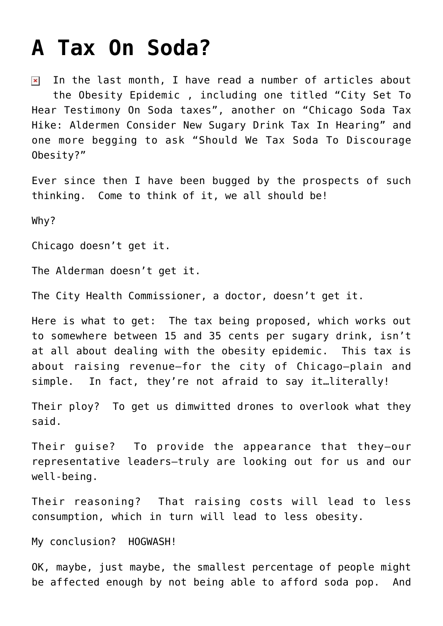## **[A Tax On Soda?](https://bernardgoldberg.com/a-tax-on-soda/)**

In the last month, I have read a number of articles about  $\pmb{\times}$ the [Obesity Epidemic](http://content.healthaffairs.org/content/31/1/199.full?ijkey=jyoZSeVjqq4f6&keytype=ref&siteid=healthaff) , including one titled "[City Set To](http://articles.chicagotribune.com/2012-04-30/features/chi-soda-taxes-to-be-debated-in-chicago-city-council-20120430_1_soda-tax-sugary-beverage-tax-cent-tax) [Hear Testimony On Soda taxes"](http://articles.chicagotribune.com/2012-04-30/features/chi-soda-taxes-to-be-debated-in-chicago-city-council-20120430_1_soda-tax-sugary-beverage-tax-cent-tax), another on "[Chicago Soda Tax](http://www.huffingtonpost.com/2012/05/01/chicago-soda-tax-hike-ald_n_1467487.html) [Hike: Aldermen Consider New Sugary Drink Tax In Hearing](http://www.huffingtonpost.com/2012/05/01/chicago-soda-tax-hike-ald_n_1467487.html)" and one more begging to ask "[Should We Tax Soda To Discourage](http://lakeforest.patch.com/articles/poll-is-soda-tax-a-weapon-against-obesity) [Obesity?"](http://lakeforest.patch.com/articles/poll-is-soda-tax-a-weapon-against-obesity)

Ever since then I have been bugged by the prospects of such thinking. Come to think of it, we all should be!

Why?

Chicago doesn't get it.

The Alderman doesn't get it.

The City Health Commissioner, a doctor, doesn't get it.

Here is what to get: The tax being proposed, which works out to somewhere between 15 and 35 cents per sugary drink, isn't at all about dealing with the obesity epidemic. This tax is about raising revenue—for the city of Chicago—plain and simple. In fact, they're not afraid to say it…literally!

Their ploy? To get us dimwitted drones to overlook what they said.

Their guise? To provide the appearance that they—our representative leaders—truly are looking out for us and our well-being.

Their reasoning? That raising costs will lead to less consumption, which in turn will lead to less obesity.

My conclusion? HOGWASH!

OK, maybe, just maybe, the smallest percentage of people might be affected enough by not being able to afford soda pop. And